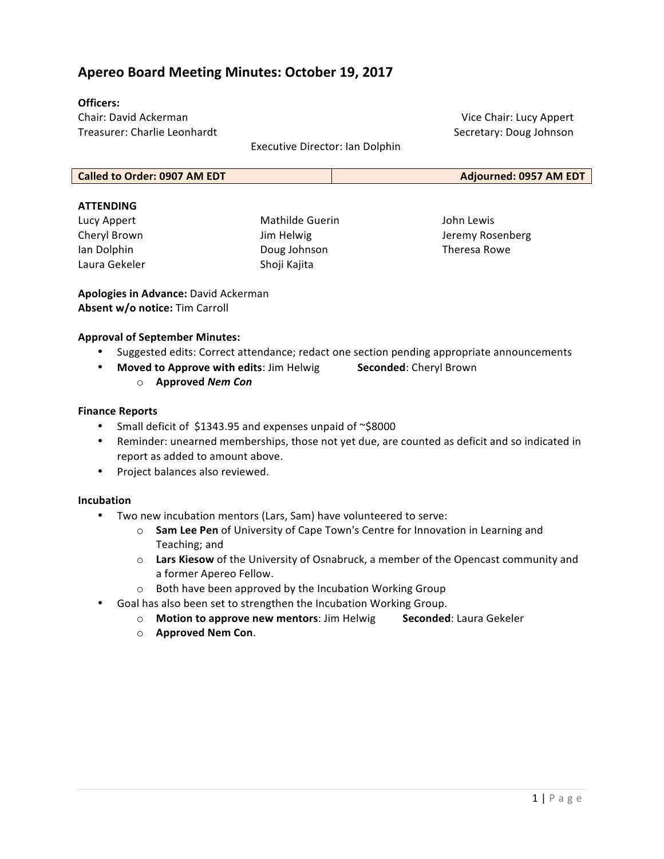# **Apereo Board Meeting Minutes: October 19, 2017**

# **Officers:**

Chair: David Ackerman Treasurer: Charlie Leonhardt

Vice Chair: Lucy Appert Secretary: Doug Johnson

Executive Director: Ian Dolphin

#### **ATTENDING**

Lucy Appert Cheryl Brown Ian Dolphin Laura Gekeler 

Mathilde Guerin Jim Helwig Doug Johnson Shoji Kajita

John Lewis Jeremy Rosenberg Theresa Rowe

**Apologies in Advance: David Ackerman Absent w/o notice:** Tim Carroll

## **Approval of September Minutes:**

- Suggested edits: Correct attendance; redact one section pending appropriate announcements
- Moved to Approve with edits: Jim Helwig Seconded: Cheryl Brown
	- o **Approved** *Nem Con*

#### **Finance Reports**

- Small deficit of \$1343.95 and expenses unpaid of  $\sim$ \$8000
- Reminder: unearned memberships, those not yet due, are counted as deficit and so indicated in report as added to amount above.
- Project balances also reviewed.

#### **Incubation**

- Two new incubation mentors (Lars, Sam) have volunteered to serve:
	- $\circ$  **Sam Lee Pen** of University of Cape Town's Centre for Innovation in Learning and Teaching; and
	- o Lars Kiesow of the University of Osnabruck, a member of the Opencast community and a former Apereo Fellow.
	- $\circ$  Both have been approved by the Incubation Working Group
- Goal has also been set to strengthen the Incubation Working Group.
	- o **Motion to approve new mentors**: Jim Helwig **Seconded**: Laura Gekeler
	- o **Approved Nem Con**.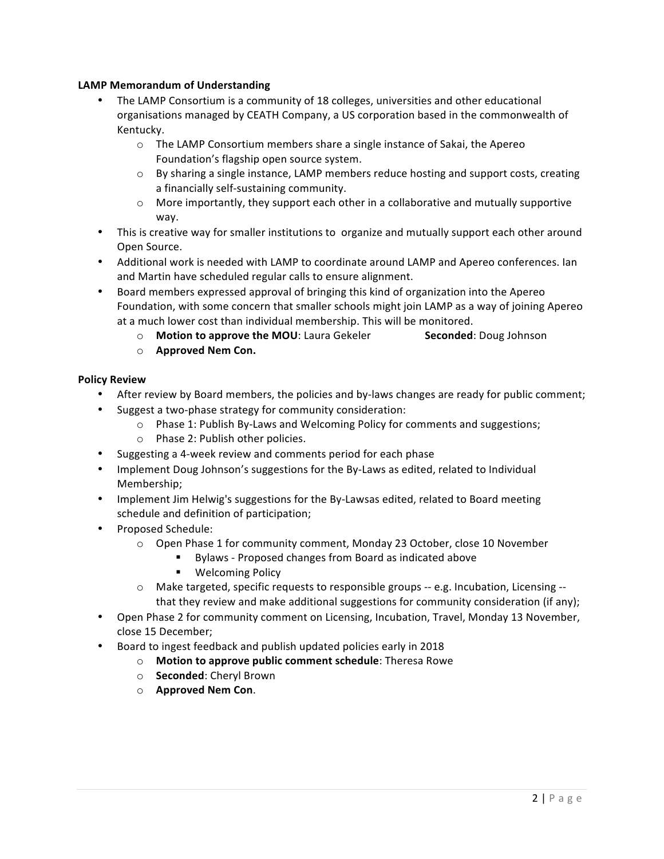# **LAMP Memorandum of Understanding**

- The LAMP Consortium is a community of 18 colleges, universities and other educational organisations managed by CEATH Company, a US corporation based in the commonwealth of Kentucky.
	- $\circ$  The LAMP Consortium members share a single instance of Sakai, the Apereo Foundation's flagship open source system.
	- $\circ$  By sharing a single instance, LAMP members reduce hosting and support costs, creating a financially self-sustaining community.
	- $\circ$  More importantly, they support each other in a collaborative and mutually supportive way.
- This is creative way for smaller institutions to organize and mutually support each other around Open Source.
- Additional work is needed with LAMP to coordinate around LAMP and Apereo conferences. Ian and Martin have scheduled regular calls to ensure alignment.
- Board members expressed approval of bringing this kind of organization into the Apereo Foundation, with some concern that smaller schools might join LAMP as a way of joining Apereo at a much lower cost than individual membership. This will be monitored.
	- o **Motion to approve the MOU**: Laura Gekeler **Seconded**: Doug Johnson
	- o **Approved Nem Con.**

# **Policy Review**

- After review by Board members, the policies and by-laws changes are ready for public comment;
	- Suggest a two-phase strategy for community consideration:
		- o Phase 1: Publish By-Laws and Welcoming Policy for comments and suggestions;
		- $\circ$  Phase 2: Publish other policies.
- Suggesting a 4-week review and comments period for each phase
- Implement Doug Johnson's suggestions for the By-Laws as edited, related to Individual Membership;
- Implement Jim Helwig's suggestions for the By-Lawsas edited, related to Board meeting schedule and definition of participation;
- Proposed Schedule:
	- $\circ$  Open Phase 1 for community comment, Monday 23 October, close 10 November
		- Bylaws Proposed changes from Board as indicated above
		- **•** Welcoming Policy
	- $\circ$  Make targeted, specific requests to responsible groups -- e.g. Incubation, Licensing -that they review and make additional suggestions for community consideration (if any);
- Open Phase 2 for community comment on Licensing, Incubation, Travel, Monday 13 November, close 15 December;
- Board to ingest feedback and publish updated policies early in 2018
	- o **Motion to approve public comment schedule**: Theresa Rowe
	- o **Seconded**: Cheryl Brown
	- o **Approved Nem Con**.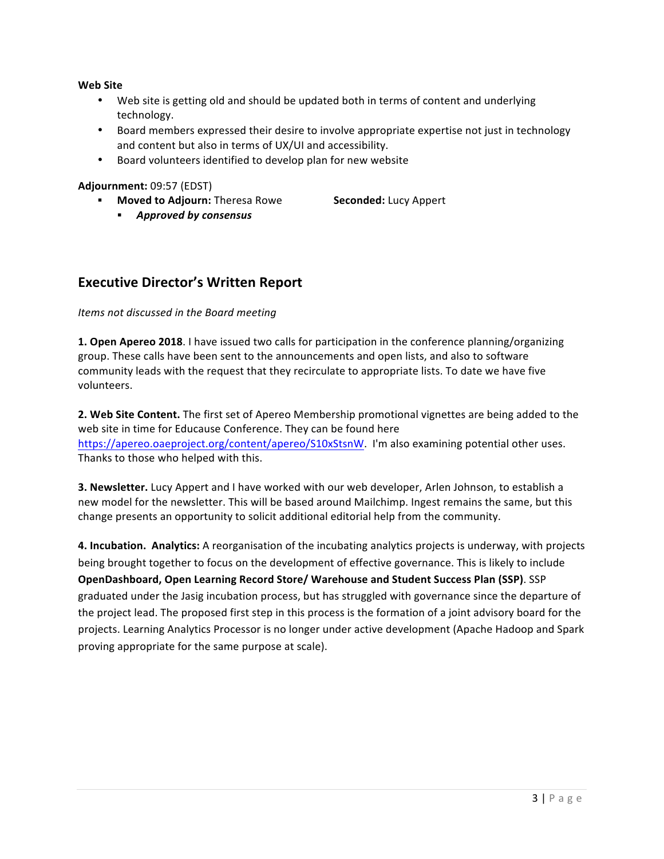#### **Web Site**

- Web site is getting old and should be updated both in terms of content and underlying technology.
- Board members expressed their desire to involve appropriate expertise not just in technology and content but also in terms of UX/UI and accessibility.
- Board volunteers identified to develop plan for new website

#### **Adjournment:** 09:57 (EDST)

- **Moved to Adjourn:** Theresa Rowe **Seconded:** Lucy Appert
	- § *Approved by consensus*

# **Executive Director's Written Report**

## *Items not discussed in the Board meeting*

**1. Open Apereo 2018**. I have issued two calls for participation in the conference planning/organizing group. These calls have been sent to the announcements and open lists, and also to software community leads with the request that they recirculate to appropriate lists. To date we have five volunteers.

**2. Web Site Content.** The first set of Apereo Membership promotional vignettes are being added to the web site in time for Educause Conference. They can be found here https://apereo.oaeproject.org/content/apereo/S10xStsnW. I'm also examining potential other uses. Thanks to those who helped with this.

**3. Newsletter.** Lucy Appert and I have worked with our web developer, Arlen Johnson, to establish a new model for the newsletter. This will be based around Mailchimp. Ingest remains the same, but this change presents an opportunity to solicit additional editorial help from the community.

**4.** Incubation. Analytics: A reorganisation of the incubating analytics projects is underway, with projects being brought together to focus on the development of effective governance. This is likely to include **OpenDashboard, Open Learning Record Store/ Warehouse and Student Success Plan (SSP)**. SSP graduated under the Jasig incubation process, but has struggled with governance since the departure of the project lead. The proposed first step in this process is the formation of a joint advisory board for the projects. Learning Analytics Processor is no longer under active development (Apache Hadoop and Spark proving appropriate for the same purpose at scale).